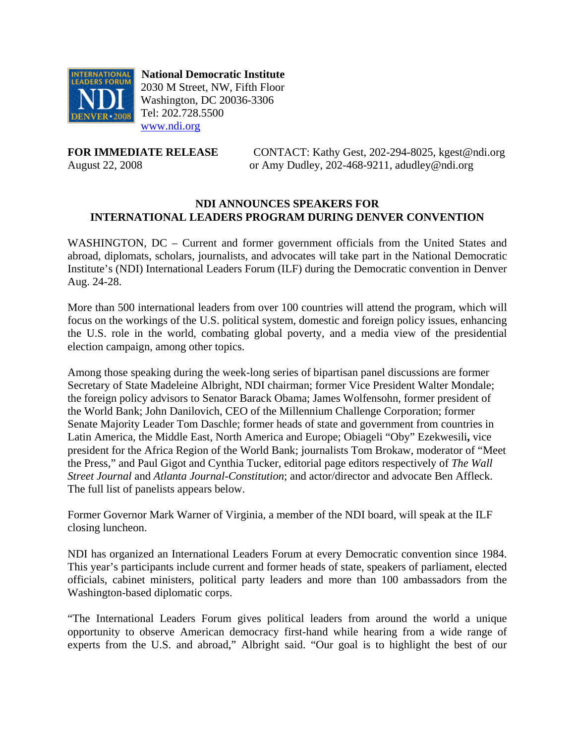

 **National Democratic Institute** 2030 M Street, NW, Fifth Floor Washington, DC 20036-3306 Tel: 202.728.5500 [www.ndi.org](http://www.ndi.org/)

**FOR IMMEDIATE RELEASE CONTACT:** Kathy Gest, 202-294-8025, kgest@ndi.org August 22, 2008 or Amy Dudley, 202-468-9211, adudley@ndi.org

### **NDI ANNOUNCES SPEAKERS FOR INTERNATIONAL LEADERS PROGRAM DURING DENVER CONVENTION**

WASHINGTON, DC – Current and former government officials from the United States and abroad, diplomats, scholars, journalists, and advocates will take part in the National Democratic Institute's (NDI) International Leaders Forum (ILF) during the Democratic convention in Denver Aug. 24-28.

More than 500 international leaders from over 100 countries will attend the program, which will focus on the workings of the U.S. political system, domestic and foreign policy issues, enhancing the U.S. role in the world, combating global poverty, and a media view of the presidential election campaign, among other topics.

Among those speaking during the week-long series of bipartisan panel discussions are former Secretary of State Madeleine Albright, NDI chairman; former Vice President Walter Mondale; the foreign policy advisors to Senator Barack Obama; James Wolfensohn, former president of the World Bank; John Danilovich, CEO of the Millennium Challenge Corporation; former Senate Majority Leader Tom Daschle; former heads of state and government from countries in Latin America, the Middle East, North America and Europe; Obiageli "Oby" Ezekwesili**,** vice president for the Africa Region of the World Bank; journalists Tom Brokaw, moderator of "Meet the Press," and Paul Gigot and Cynthia Tucker, editorial page editors respectively of *The Wall Street Journal* and *Atlanta Journal-Constitution*; and actor/director and advocate Ben Affleck. The full list of panelists appears below.

Former Governor Mark Warner of Virginia, a member of the NDI board, will speak at the ILF closing luncheon.

NDI has organized an International Leaders Forum at every Democratic convention since 1984. This year's participants include current and former heads of state, speakers of parliament, elected officials, cabinet ministers, political party leaders and more than 100 ambassadors from the Washington-based diplomatic corps.

"The International Leaders Forum gives political leaders from around the world a unique opportunity to observe American democracy first-hand while hearing from a wide range of experts from the U.S. and abroad," Albright said. "Our goal is to highlight the best of our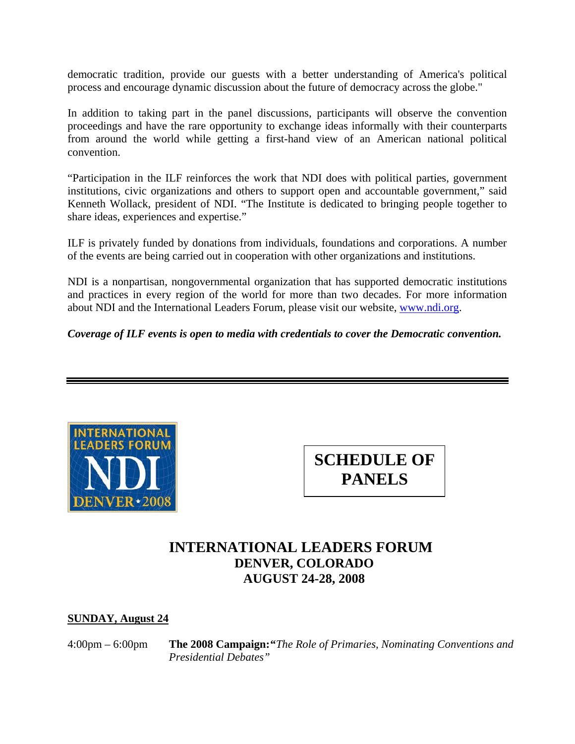democratic tradition, provide our guests with a better understanding of America's political process and encourage dynamic discussion about the future of democracy across the globe."

In addition to taking part in the panel discussions, participants will observe the convention proceedings and have the rare opportunity to exchange ideas informally with their counterparts from around the world while getting a first-hand view of an American national political convention.

"Participation in the ILF reinforces the work that NDI does with political parties, government institutions, civic organizations and others to support open and accountable government," said Kenneth Wollack, president of NDI. "The Institute is dedicated to bringing people together to share ideas, experiences and expertise."

ILF is privately funded by donations from individuals, foundations and corporations. A number of the events are being carried out in cooperation with other organizations and institutions.

NDI is a nonpartisan, nongovernmental organization that has supported democratic institutions and practices in every region of the world for more than two decades. For more information about NDI and the International Leaders Forum, please visit our website, [www.ndi.org.](http://www.ndi.org/)

*Coverage of ILF events is open to media with credentials to cover the Democratic convention.* 





# **INTERNATIONAL LEADERS FORUM DENVER, COLORADO AUGUST 24-28, 2008**

### **SUNDAY, August 24**

4:00pm – 6:00pm **The 2008 Campaign: "***The Role of Primaries, Nominating Conventions and Presidential Debates"*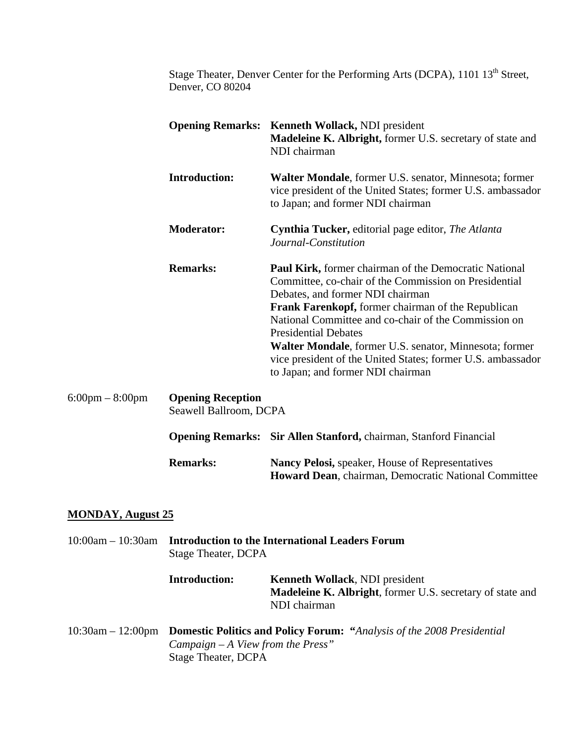Stage Theater, Denver Center for the Performing Arts (DCPA), 1101 13<sup>th</sup> Street, Denver, CO 80204

|                          | <b>Opening Remarks: Kenneth Wollack, NDI president</b><br><b>Madeleine K. Albright, former U.S. secretary of state and</b><br>NDI chairman                                                                                                                                                                                                                                                                                                                                  |
|--------------------------|-----------------------------------------------------------------------------------------------------------------------------------------------------------------------------------------------------------------------------------------------------------------------------------------------------------------------------------------------------------------------------------------------------------------------------------------------------------------------------|
| <b>Introduction:</b>     | Walter Mondale, former U.S. senator, Minnesota; former<br>vice president of the United States; former U.S. ambassador<br>to Japan; and former NDI chairman                                                                                                                                                                                                                                                                                                                  |
| <b>Moderator:</b>        | <b>Cynthia Tucker, editorial page editor, The Atlanta</b><br>Journal-Constitution                                                                                                                                                                                                                                                                                                                                                                                           |
| <b>Remarks:</b>          | <b>Paul Kirk, former chairman of the Democratic National</b><br>Committee, co-chair of the Commission on Presidential<br>Debates, and former NDI chairman<br><b>Frank Farenkopf, former chairman of the Republican</b><br>National Committee and co-chair of the Commission on<br><b>Presidential Debates</b><br>Walter Mondale, former U.S. senator, Minnesota; former<br>vice president of the United States; former U.S. ambassador<br>to Japan; and former NDI chairman |
| <b>Opening Reception</b> |                                                                                                                                                                                                                                                                                                                                                                                                                                                                             |

Seawell Ballroom, DCPA

|                 | <b>Opening Remarks: Sir Allen Stanford, chairman, Stanford Financial</b>                                              |
|-----------------|-----------------------------------------------------------------------------------------------------------------------|
| <b>Remarks:</b> | <b>Nancy Pelosi, speaker, House of Representatives</b><br><b>Howard Dean, chairman, Democratic National Committee</b> |

## **MONDAY, August 25**

6:00pm – 8:00pm

|                        | 10:00am – 10:30am Introduction to the International Leaders Forum<br>Stage Theater, DCPA |                                                                                                                            |
|------------------------|------------------------------------------------------------------------------------------|----------------------------------------------------------------------------------------------------------------------------|
|                        | <b>Introduction:</b>                                                                     | <b>Kenneth Wollack, NDI president</b><br><b>Madeleine K. Albright</b> , former U.S. secretary of state and<br>NDI chairman |
| $10:30$ am $-12:00$ pm | Campaign $-A$ View from the Press"<br>Stage Theater, DCPA                                | <b>Domestic Politics and Policy Forum: "Analysis of the 2008 Presidential</b>                                              |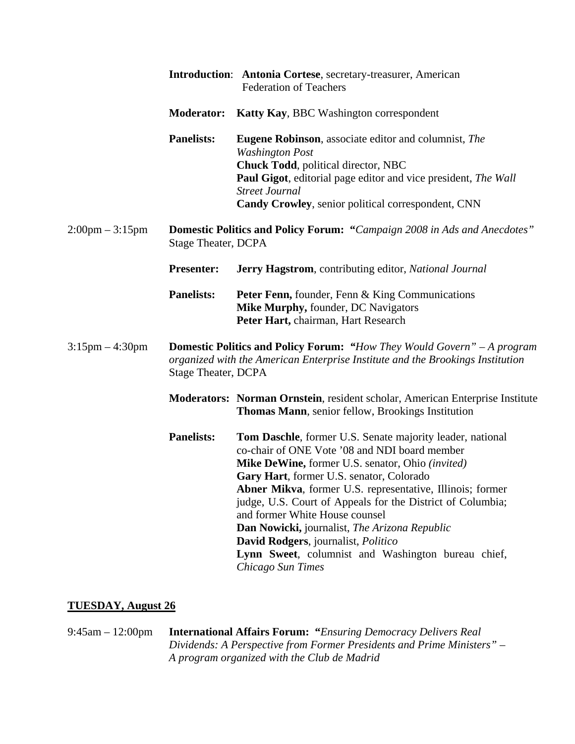|                                   |                            | Introduction: Antonia Cortese, secretary-treasurer, American<br><b>Federation of Teachers</b>                                                                                                                                                                                                                                                                                                                                                                                                                                              |
|-----------------------------------|----------------------------|--------------------------------------------------------------------------------------------------------------------------------------------------------------------------------------------------------------------------------------------------------------------------------------------------------------------------------------------------------------------------------------------------------------------------------------------------------------------------------------------------------------------------------------------|
|                                   | <b>Moderator:</b>          | Katty Kay, BBC Washington correspondent                                                                                                                                                                                                                                                                                                                                                                                                                                                                                                    |
|                                   | <b>Panelists:</b>          | <b>Eugene Robinson</b> , associate editor and columnist, The<br><b>Washington Post</b><br>Chuck Todd, political director, NBC<br><b>Paul Gigot</b> , editorial page editor and vice president, <i>The Wall</i><br><b>Street Journal</b><br>Candy Crowley, senior political correspondent, CNN                                                                                                                                                                                                                                              |
| $2:00 \text{pm} - 3:15 \text{pm}$ | <b>Stage Theater, DCPA</b> | <b>Domestic Politics and Policy Forum: "Campaign 2008 in Ads and Anecdotes"</b>                                                                                                                                                                                                                                                                                                                                                                                                                                                            |
|                                   | <b>Presenter:</b>          | Jerry Hagstrom, contributing editor, National Journal                                                                                                                                                                                                                                                                                                                                                                                                                                                                                      |
|                                   | <b>Panelists:</b>          | Peter Fenn, founder, Fenn & King Communications<br>Mike Murphy, founder, DC Navigators<br>Peter Hart, chairman, Hart Research                                                                                                                                                                                                                                                                                                                                                                                                              |
| $3:15 \text{pm} - 4:30 \text{pm}$ | <b>Stage Theater, DCPA</b> | <b>Domestic Politics and Policy Forum: "How They Would Govern" - A program</b><br>organized with the American Enterprise Institute and the Brookings Institution                                                                                                                                                                                                                                                                                                                                                                           |
|                                   |                            | <b>Moderators: Norman Ornstein, resident scholar, American Enterprise Institute</b><br>Thomas Mann, senior fellow, Brookings Institution                                                                                                                                                                                                                                                                                                                                                                                                   |
|                                   | <b>Panelists:</b>          | Tom Daschle, former U.S. Senate majority leader, national<br>co-chair of ONE Vote '08 and NDI board member<br>Mike DeWine, former U.S. senator, Ohio (invited)<br>Gary Hart, former U.S. senator, Colorado<br>Abner Mikva, former U.S. representative, Illinois; former<br>judge, U.S. Court of Appeals for the District of Columbia;<br>and former White House counsel<br>Dan Nowicki, journalist, The Arizona Republic<br>David Rodgers, journalist, Politico<br>Lynn Sweet, columnist and Washington bureau chief,<br>Chicago Sun Times |

## **TUESDAY, August 26**

9:45am – 12:00pm **International Affairs Forum: "***Ensuring Democracy Delivers Real Dividends: A Perspective from Former Presidents and Prime Ministers" – A program organized with the Club de Madrid*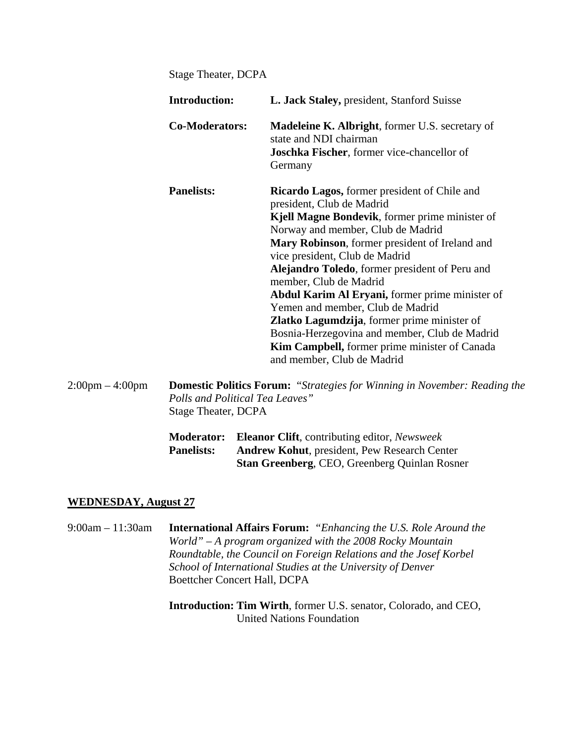Stage Theater, DCPA

| <b>Introduction:</b>  | L. Jack Staley, president, Stanford Suisse                                                                                                                                                                                                                                                                                                                                                                                                                                                                                                                                                                                   |
|-----------------------|------------------------------------------------------------------------------------------------------------------------------------------------------------------------------------------------------------------------------------------------------------------------------------------------------------------------------------------------------------------------------------------------------------------------------------------------------------------------------------------------------------------------------------------------------------------------------------------------------------------------------|
| <b>Co-Moderators:</b> | <b>Madeleine K. Albright, former U.S. secretary of</b><br>state and NDI chairman<br><b>Joschka Fischer</b> , former vice-chancellor of<br>Germany                                                                                                                                                                                                                                                                                                                                                                                                                                                                            |
| <b>Panelists:</b>     | <b>Ricardo Lagos, former president of Chile and</b><br>president, Club de Madrid<br>Kjell Magne Bondevik, former prime minister of<br>Norway and member, Club de Madrid<br>Mary Robinson, former president of Ireland and<br>vice president, Club de Madrid<br><b>Alejandro Toledo</b> , former president of Peru and<br>member, Club de Madrid<br><b>Abdul Karim Al Eryani, former prime minister of</b><br>Yemen and member, Club de Madrid<br>Zlatko Lagumdzija, former prime minister of<br>Bosnia-Herzegovina and member, Club de Madrid<br>Kim Campbell, former prime minister of Canada<br>and member, Club de Madrid |

2:00pm – 4:00pm **Domestic Politics Forum:** "*Strategies for Winning in November: Reading the Polls and Political Tea Leaves"*  Stage Theater, DCPA

|                   | <b>Moderator:</b> Eleanor Clift, contributing editor, Newsweek |
|-------------------|----------------------------------------------------------------|
| <b>Panelists:</b> | <b>Andrew Kohut, president, Pew Research Center</b>            |
|                   | <b>Stan Greenberg, CEO, Greenberg Quinlan Rosner</b>           |

#### **WEDNESDAY, August 27**

9:00am – 11:30am **International Affairs Forum:** *"Enhancing the U.S. Role Around the World" – A program organized with the 2008 Rocky Mountain Roundtable, the Council on Foreign Relations and the Josef Korbel School of International Studies at the University of Denver*  Boettcher Concert Hall, DCPA

> **Introduction: Tim Wirth**, former U.S. senator, Colorado, and CEO, United Nations Foundation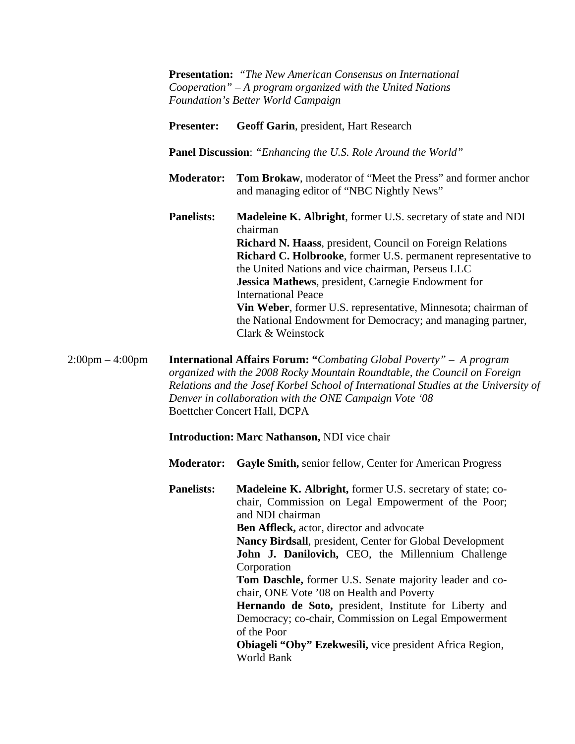**Presentation:** *"The New American Consensus on International Cooperation" – A program organized with the United Nations Foundation's Better World Campaign* 

- **Presenter: Geoff Garin**, president, Hart Research
- **Panel Discussion**: *"Enhancing the U.S. Role Around the World"*
- **Moderator: Tom Brokaw**, moderator of "Meet the Press" and former anchor and managing editor of "NBC Nightly News"
- **Panelists: Madeleine K. Albright**, former U.S. secretary of state and NDI chairman **Richard N. Haass**, president, Council on Foreign Relations **Richard C. Holbrooke**, former U.S. permanent representative to the United Nations and vice chairman, Perseus LLC **Jessica Mathews**, president, Carnegie Endowment for International Peace **Vin Weber**, former U.S. representative, Minnesota; chairman of the National Endowment for Democracy; and managing partner, Clark & Weinstock

2:00pm – 4:00pm **International Affairs Forum: "***Combating Global Poverty" – A program organized with the 2008 Rocky Mountain Roundtable, the Council on Foreign Relations and the Josef Korbel School of International Studies at the University of Denver in collaboration with the ONE Campaign Vote '08*  Boettcher Concert Hall, DCPA

**Introduction: Marc Nathanson,** NDI vice chair

**Moderator: Gayle Smith,** senior fellow, Center for American Progress

**Panelists:** Madeleine K. Albright, former U.S. secretary of state; cochair, Commission on Legal Empowerment of the Poor; and NDI chairman **Ben Affleck,** actor, director and advocate **Nancy Birdsall**, president, Center for Global Development **John J. Danilovich,** CEO, the Millennium Challenge Corporation **Tom Daschle,** former U.S. Senate majority leader and cochair, ONE Vote '08 on Health and Poverty **Hernando de Soto,** president, Institute for Liberty and Democracy; co-chair, Commission on Legal Empowerment of the Poor **Obiageli "Oby" Ezekwesili,** vice president Africa Region,

World Bank